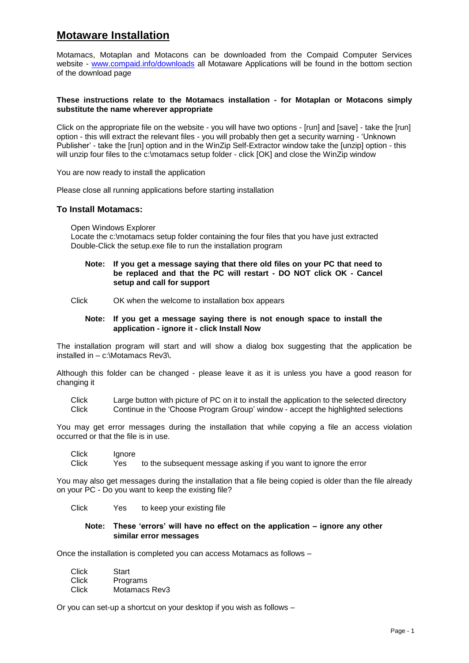# **Motaware Installation**

Motamacs, Motaplan and Motacons can be downloaded from the Compaid Computer Services website - [www.compaid.info/downloads](http://www.compaid.info/downloads) all Motaware Applications will be found in the bottom section of the download page

## **These instructions relate to the Motamacs installation - for Motaplan or Motacons simply substitute the name wherever appropriate**

Click on the appropriate file on the website - you will have two options - [run] and [save] - take the [run] option - this will extract the relevant files - you will probably then get a security warning - 'Unknown Publisher' - take the [run] option and in the WinZip Self-Extractor window take the [unzip] option - this will unzip four files to the c:\motamacs setup folder - click [OK] and close the WinZip window

You are now ready to install the application

Please close all running applications before starting installation

## **To Install Motamacs:**

Open Windows Explorer

Locate the c:\motamacs setup folder containing the four files that you have just extracted Double-Click the setup.exe file to run the installation program

#### **Note: If you get a message saying that there old files on your PC that need to be replaced and that the PC will restart - DO NOT click OK - Cancel setup and call for support**

Click OK when the welcome to installation box appears

#### **Note: If you get a message saying there is not enough space to install the application - ignore it - click Install Now**

The installation program will start and will show a dialog box suggesting that the application be installed in – c:\Motamacs Rev3\.

Although this folder can be changed - please leave it as it is unless you have a good reason for changing it

Click Large button with picture of PC on it to install the application to the selected directory Click Continue in the 'Choose Program Group' window - accept the highlighted selections

You may get error messages during the installation that while copying a file an access violation occurred or that the file is in use.

Click Ignore

Click Yes to the subsequent message asking if you want to ignore the error

You may also get messages during the installation that a file being copied is older than the file already on your PC - Do you want to keep the existing file?

Click Yes to keep your existing file

#### **Note: These 'errors' will have no effect on the application – ignore any other similar error messages**

Once the installation is completed you can access Motamacs as follows –

| Click | Start         |
|-------|---------------|
| Click | Programs      |
| Click | Motamacs Rev3 |

Or you can set-up a shortcut on your desktop if you wish as follows –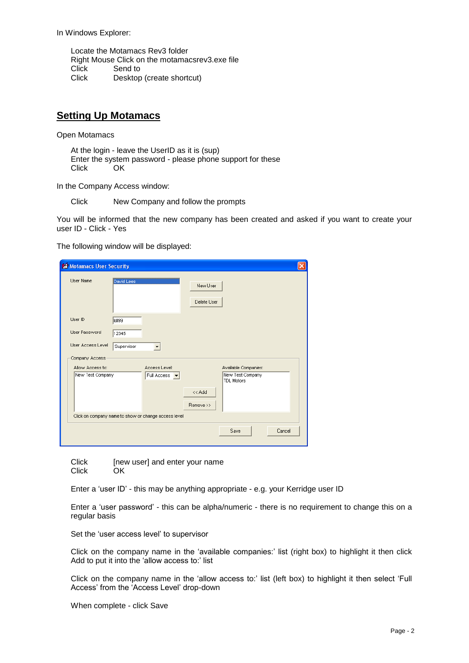In Windows Explorer:

Locate the Motamacs Rev3 folder Right Mouse Click on the motamacsrev3.exe file Click Send to<br>Click Desktor Desktop (create shortcut)

# **Setting Up Motamacs**

Open Motamacs

At the login - leave the UserID as it is (sup) Enter the system password - please phone support for these Click OK

In the Company Access window:

Click New Company and follow the prompts

You will be informed that the new company has been created and asked if you want to create your user ID - Click - Yes

The following window will be displayed:

| Motamacs User Security                               |                |                              |                         |                                                        |        |
|------------------------------------------------------|----------------|------------------------------|-------------------------|--------------------------------------------------------|--------|
| User Name                                            | David Lees     |                              | New User<br>Delete User |                                                        |        |
| User ID<br>User Password                             | tdi99<br>12345 |                              |                         |                                                        |        |
| User Access Level                                    | Supervisor     | $\overline{\phantom{a}}$     |                         |                                                        |        |
| Company Access                                       |                |                              |                         |                                                        |        |
| Allow Access to:<br>New Test Company                 |                | Access Level:<br>Full Access |                         | Available Companies:<br>New Test Company<br>TDL Motors |        |
|                                                      |                |                              | << Add<br>Remove >>     |                                                        |        |
| Click on company name to show or change access level |                |                              |                         |                                                        |        |
|                                                      |                |                              |                         | Save                                                   | Cancel |

| Click | [new user] and enter your name |
|-------|--------------------------------|
| Click | OK                             |

Enter a 'user ID' - this may be anything appropriate - e.g. your Kerridge user ID

Enter a 'user password' - this can be alpha/numeric - there is no requirement to change this on a regular basis

Set the 'user access level' to supervisor

Click on the company name in the 'available companies:' list (right box) to highlight it then click Add to put it into the 'allow access to:' list

Click on the company name in the 'allow access to:' list (left box) to highlight it then select 'Full Access' from the 'Access Level' drop-down

When complete - click Save